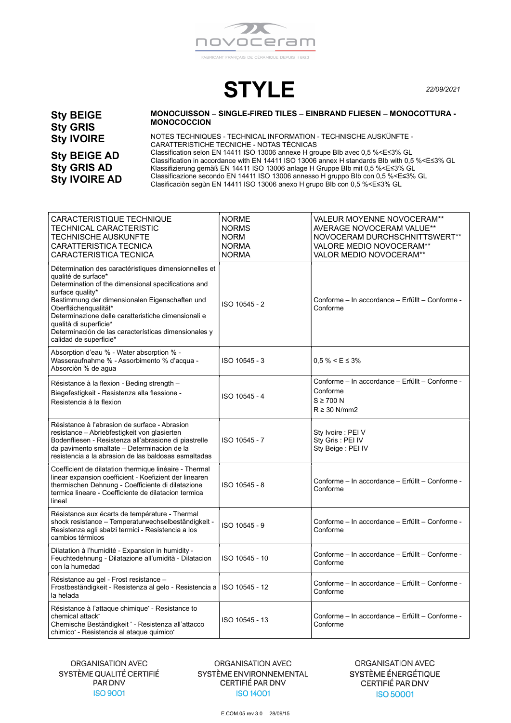

STYLE 22/09/2021

Sty BEIGE Sty GRIS Sty IVOIRE

Sty BEIGE AD Sty GRIS AD Sty IVOIRE AD

## MONOCUISSON – SINGLE-FIRED TILES – EINBRAND FLIESEN – MONOCOTTURA - MONOCOCCION

NOTES TECHNIQUES - TECHNICAL INFORMATION - TECHNISCHE AUSKÜNFTE - CARATTERISTICHE TECNICHE - NOTAS TÉCNICAS Classification selon EN 14411 ISO 13006 annexe H groupe BIb avec 0,5 %<E≤3% GL Classification in accordance with EN 14411 ISO 13006 annex H standards BIb with 0,5 %<E≤3% GL Klassifizierung gemäß EN 14411 ISO 13006 anlage H Gruppe BIb mit 0,5 %<E≤3% GL Classificazione secondo EN 14411 ISO 13006 annesso H gruppo BIb con 0,5 %<E≤3% GL Clasificaciòn segùn EN 14411 ISO 13006 anexo H grupo BIb con 0,5 %<E≤3% GL

| CARACTERISTIQUE TECHNIQUE<br>TECHNICAL CARACTERISTIC<br>TECHNISCHE AUSKUNFTE<br>CARATTERISTICA TECNICA<br>CARACTERISTICA TECNICA                                                                                                                                                                                                                                                                     | <b>NORME</b><br><b>NORMS</b><br><b>NORM</b><br><b>NORMA</b><br><b>NORMA</b> | VALEUR MOYENNE NOVOCERAM**<br>AVERAGE NOVOCERAM VALUE**<br>NOVOCERAM DURCHSCHNITTSWERT**<br>VALORE MEDIO NOVOCERAM**<br><b>VALOR MEDIO NOVOCERAM**</b> |
|------------------------------------------------------------------------------------------------------------------------------------------------------------------------------------------------------------------------------------------------------------------------------------------------------------------------------------------------------------------------------------------------------|-----------------------------------------------------------------------------|--------------------------------------------------------------------------------------------------------------------------------------------------------|
| Détermination des caractéristiques dimensionnelles et<br>qualité de surface*<br>Determination of the dimensional specifications and<br>surface quality*<br>Bestimmung der dimensionalen Eigenschaften und<br>Oberflächenqualität*<br>Determinazione delle caratteristiche dimensionali e<br>qualità di superficie*<br>Determinación de las características dimensionales y<br>calidad de superficie* | ISO 10545 - 2                                                               | Conforme - In accordance - Erfüllt - Conforme -<br>Conforme                                                                                            |
| Absorption d'eau % - Water absorption % -<br>Wasseraufnahme % - Assorbimento % d'acqua -<br>Absorciòn % de agua                                                                                                                                                                                                                                                                                      | ISO 10545 - 3                                                               | $0.5\% < E \leq 3\%$                                                                                                                                   |
| Résistance à la flexion - Beding strength -<br>Biegefestigkeit - Resistenza alla flessione -<br>Resistencia à la flexion                                                                                                                                                                                                                                                                             | ISO 10545 - 4                                                               | Conforme - In accordance - Erfüllt - Conforme -<br>Conforme<br>$S \geq 700 N$<br>$R \geq 30$ N/mm2                                                     |
| Résistance à l'abrasion de surface - Abrasion<br>resistance - Abriebfestigkeit von glasierten<br>Bodenfliesen - Resistenza all'abrasione di piastrelle<br>da pavimento smaltate - Determinacion de la<br>resistencia a la abrasion de las baldosas esmaltadas                                                                                                                                        | ISO 10545 - 7                                                               | Sty Ivoire : PEI V<br>Sty Gris: PEI IV<br>Sty Beige : PEI IV                                                                                           |
| Coefficient de dilatation thermique linéaire - Thermal<br>linear expansion coefficient - Koefizient der linearen<br>thermischen Dehnung - Coefficiente di dilatazione<br>termica lineare - Coefficiente de dilatacion termica<br>lineal                                                                                                                                                              | ISO 10545 - 8                                                               | Conforme – In accordance – Erfüllt – Conforme -<br>Conforme                                                                                            |
| Résistance aux écarts de température - Thermal<br>shock resistance - Temperaturwechselbeständigkeit -<br>Resistenza agli sbalzi termici - Resistencia a los<br>cambios térmicos                                                                                                                                                                                                                      | ISO 10545 - 9                                                               | Conforme - In accordance - Erfüllt - Conforme -<br>Conforme                                                                                            |
| Dilatation à l'humidité - Expansion in humidity -<br>Feuchtedehnung - Dilatazione all'umidità - Dilatacion<br>con la humedad                                                                                                                                                                                                                                                                         | ISO 10545 - 10                                                              | Conforme - In accordance - Erfüllt - Conforme -<br>Conforme                                                                                            |
| Résistance au gel - Frost resistance -<br>Frostbeständigkeit - Resistenza al gelo - Resistencia a<br>la helada                                                                                                                                                                                                                                                                                       | ISO 10545 - 12                                                              | Conforme - In accordance - Erfüllt - Conforme -<br>Conforme                                                                                            |
| Résistance à l'attaque chimique <sup>*</sup> - Resistance to<br>chemical attack <sup>*</sup><br>Chemische Beständigkeit * - Resistenza all'attacco<br>chimico <sup>-</sup> - Resistencia al ataque quimico <sup>-</sup>                                                                                                                                                                              | ISO 10545 - 13                                                              | Conforme – In accordance – Erfüllt – Conforme -<br>Conforme                                                                                            |

ORGANISATION AVEC SYSTÈME QUALITÉ CERTIFIÉ PAR DNV **ISO 9001** 

ORGANISATION AVEC SYSTÈME ENVIRONNEMENTAL CERTIFIÉ PAR DNV **ISO 14001** 

ORGANISATION AVEC SYSTÈME ÉNERGÉTIQUE CERTIFIÉ PAR DNV **ISO 50001** 

E.COM.05 rev 3.0 28/09/15